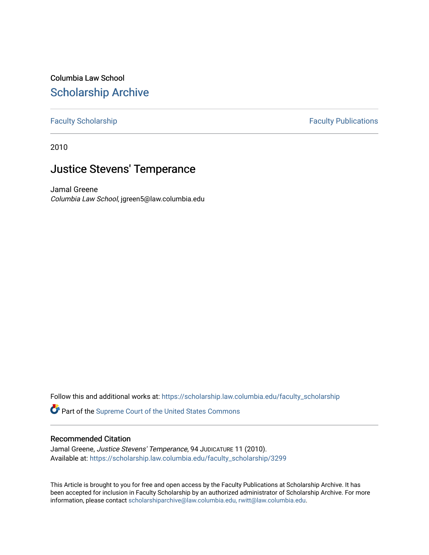Columbia Law School [Scholarship Archive](https://scholarship.law.columbia.edu/) 

## [Faculty Scholarship](https://scholarship.law.columbia.edu/faculty_scholarship) **Faculty Publications**

2010

## Justice Stevens' Temperance

Jamal Greene Columbia Law School, jgreen5@law.columbia.edu

Follow this and additional works at: [https://scholarship.law.columbia.edu/faculty\\_scholarship](https://scholarship.law.columbia.edu/faculty_scholarship?utm_source=scholarship.law.columbia.edu%2Ffaculty_scholarship%2F3299&utm_medium=PDF&utm_campaign=PDFCoverPages)

Part of the [Supreme Court of the United States Commons](http://network.bepress.com/hgg/discipline/1350?utm_source=scholarship.law.columbia.edu%2Ffaculty_scholarship%2F3299&utm_medium=PDF&utm_campaign=PDFCoverPages) 

## Recommended Citation

Jamal Greene, Justice Stevens' Temperance, 94 JUDICATURE 11 (2010). Available at: [https://scholarship.law.columbia.edu/faculty\\_scholarship/3299](https://scholarship.law.columbia.edu/faculty_scholarship/3299?utm_source=scholarship.law.columbia.edu%2Ffaculty_scholarship%2F3299&utm_medium=PDF&utm_campaign=PDFCoverPages)

This Article is brought to you for free and open access by the Faculty Publications at Scholarship Archive. It has been accepted for inclusion in Faculty Scholarship by an authorized administrator of Scholarship Archive. For more information, please contact [scholarshiparchive@law.columbia.edu, rwitt@law.columbia.edu](mailto:scholarshiparchive@law.columbia.edu,%20rwitt@law.columbia.edu).